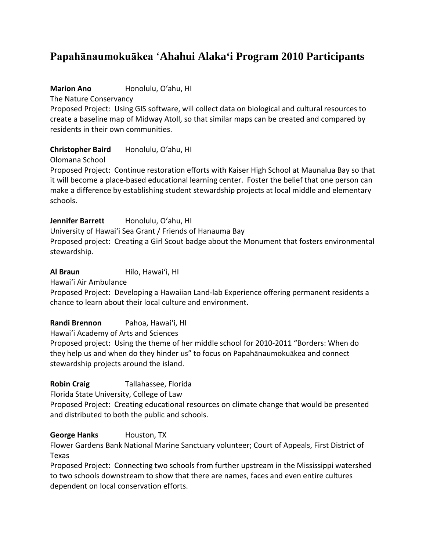# **Papahānaumokuākea** '**Ahahui Alaka'i Program 2010 Participants**

**Marion Ano** Honolulu, O'ahu, HI

The Nature Conservancy

Proposed Project: Using GIS software, will collect data on biological and cultural resources to create a baseline map of Midway Atoll, so that similar maps can be created and compared by residents in their own communities.

**Christopher Baird** Honolulu, O'ahu, HI

Olomana School

Proposed Project: Continue restoration efforts with Kaiser High School at Maunalua Bay so that it will become a place-based educational learning center. Foster the belief that one person can make a difference by establishing student stewardship projects at local middle and elementary schools.

Jennifer Barrett Honolulu, O'ahu, HI

University of Hawai'i Sea Grant / Friends of Hanauma Bay Proposed project: Creating a Girl Scout badge about the Monument that fosters environmental stewardship.

**Al Braun** Hilo, Hawai'i, HI

Hawai'i Air Ambulance

Proposed Project: Developing a Hawaiian Land-lab Experience offering permanent residents a chance to learn about their local culture and environment.

**Randi Brennon** Pahoa, Hawai'i, HI

Hawai'i Academy of Arts and Sciences

Proposed project: Using the theme of her middle school for 2010-2011 "Borders: When do they help us and when do they hinder us" to focus on Papahānaumokuākea and connect stewardship projects around the island.

# **Robin Craig** Tallahassee, Florida

Florida State University, College of Law

Proposed Project: Creating educational resources on climate change that would be presented and distributed to both the public and schools.

# **George Hanks** Houston, TX

Flower Gardens Bank National Marine Sanctuary volunteer; Court of Appeals, First District of Texas

Proposed Project: Connecting two schools from further upstream in the Mississippi watershed to two schools downstream to show that there are names, faces and even entire cultures dependent on local conservation efforts.